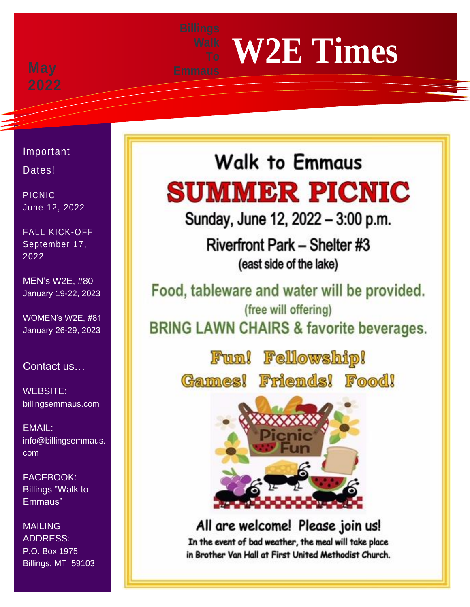# **W2E Times**

Important

Dates!

PICNIC June 12, 2022

FALL KICK-OFF September 17, 2022

MEN's W2E, #80 January 19-22, 2023

WOMEN's W2E, #81 January 26-29, 2023

Contact us…

WEBSITE: billingsemmaus.com

EMAIL: info@billingsemmaus. com

FACEBOOK: Billings "Walk to Emmaus"

MAILING ADDRESS: P.O. Box 1975 Billings, MT 59103

## **Walk to Emmaus SUMMER PICNIC**

Sunday, June 12, 2022 - 3:00 p.m.

Riverfront Park - Shelter #3 (east side of the lake)

Food, tableware and water will be provided. (free will offering) **BRING LAWN CHAIRS & favorite beverages.** 

> Fun! Fellowship! Games! Friends! Food!



All are welcome! Please join us! In the event of bad weather, the meal will take place in Brother Van Hall at First United Methodist Church.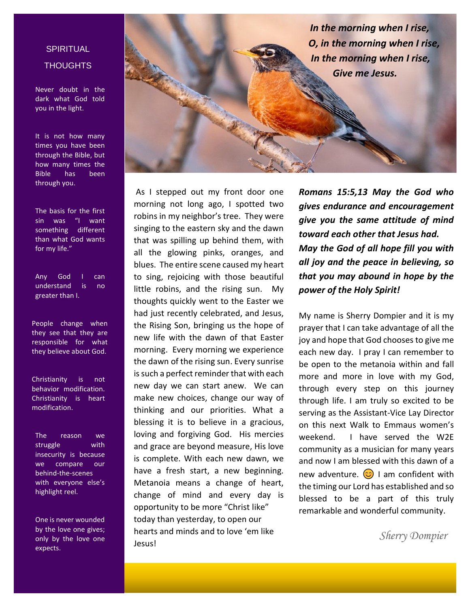*In the morning when I rise, O, in the morning when I rise, In the morning when I rise, Give me Jesus.*

#### **In the model of the model of the model of the model of the model of the model of the model of the model of the m SPIRITUAL**

Never doubt in the dark what God told you in the light.

It is not how many times you have been through the Bible, but how many times the Bible has been through you.

The basis for the first sin was "I want something different than what God wants for my life."

Any God I can understand is no greater than I.

People change when they see that they are responsible for what they believe about God.

Christianity is not behavior modification. Christianity is heart modification.

The reason we struggle with insecurity is because we compare our behind-the-scenes with everyone else's highlight reel.

One is never wounded by the love one gives; only by the love one expects.

As I stepped out my front door one morning not long ago, I spotted two robins in my neighbor's tree. They were singing to the eastern sky and the dawn that was spilling up behind them, with all the glowing pinks, oranges, and blues. The entire scene caused my heart to sing, rejoicing with those beautiful little robins, and the rising sun. My thoughts quickly went to the Easter we had just recently celebrated, and Jesus, the Rising Son, bringing us the hope of new life with the dawn of that Easter morning. Every morning we experience the dawn of the rising sun. Every sunrise is such a perfect reminder that with each new day we can start anew. We can make new choices, change our way of thinking and our priorities. What a blessing it is to believe in a gracious, loving and forgiving God. His mercies and grace are beyond measure, His love is complete. With each new dawn, we have a fresh start, a new beginning. Metanoia means a change of heart, change of mind and every day is opportunity to be more "Christ like" today than yesterday, to open our hearts and minds and to love 'em like Jesus!

*Romans 15:5,13 May the God who gives endurance and encouragement give you the same attitude of mind toward each other that Jesus had. May the God of all hope fill you with all joy and the peace in believing, so that you may abound in hope by the power of the Holy Spirit!* 

My name is Sherry Dompier and it is my prayer that I can take advantage of all the joy and hope that God chooses to give me each new day. I pray I can remember to be open to the metanoia within and fall more and more in love with my God, through every step on this journey through life. I am truly so excited to be serving as the Assistant-Vice Lay Director on this next Walk to Emmaus women's weekend. I have served the W2E community as a musician for many years and now I am blessed with this dawn of a new adventure.  $\odot$  I am confident with the timing our Lord has established and so blessed to be a part of this truly remarkable and wonderful community.

 *Sherry Dompier*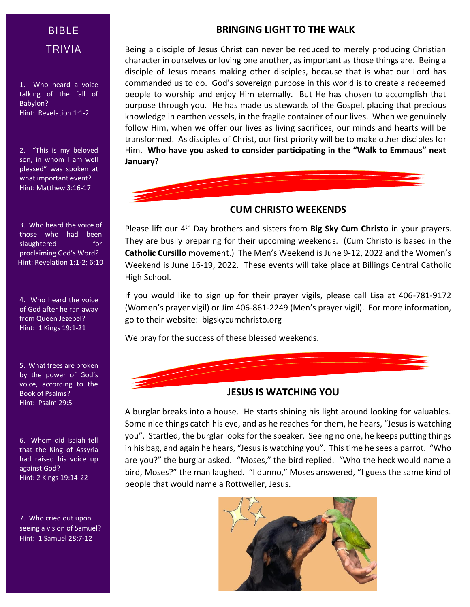### BIBLE TRIVIA

1. Who heard a voice talking of the fall of Babylon? Hint: Revelation 1:1-2

2. "This is my beloved son, in whom I am well pleased" was spoken at what important event? Hint: Matthew 3:16-17

3. Who heard the voice of those who had been slaughtered for proclaiming God's Word? Hint: Revelation 1:1-2; 6:10

4. Who heard the voice of God after he ran away from Queen Jezebel? Hint: 1 Kings 19:1-21

5. What trees are broken by the power of God's voice, according to the Book of Psalms? Hint: Psalm 29:5

6. Whom did Isaiah tell that the King of Assyria had raised his voice up against God? Hint: 2 Kings 19:14-22

7. Who cried out upon seeing a vision of Samuel? Hint: 1 Samuel 28:7-12

#### **BRINGING LIGHT TO THE WALK**

Being a disciple of Jesus Christ can never be reduced to merely producing Christian character in ourselves or loving one another, as important as those things are. Being a disciple of Jesus means making other disciples, because that is what our Lord has commanded us to do. God's sovereign purpose in this world is to create a redeemed people to worship and enjoy Him eternally. But He has chosen to accomplish that purpose through you. He has made us stewards of the Gospel, placing that precious knowledge in earthen vessels, in the fragile container of our lives. When we genuinely follow Him, when we offer our lives as living sacrifices, our minds and hearts will be transformed. As disciples of Christ, our first priority will be to make other disciples for Him. **Who have you asked to consider participating in the "Walk to Emmaus" next January?**

#### **CUM CHRISTO WEEKENDS**

Please lift our 4th Day brothers and sisters from **Big Sky Cum Christo** in your prayers. They are busily preparing for their upcoming weekends. (Cum Christo is based in the **Catholic Cursillo** movement.) The Men's Weekend is June 9-12, 2022 and the Women's Weekend is June 16-19, 2022. These events will take place at Billings Central Catholic High School.

If you would like to sign up for their prayer vigils, please call Lisa at 406-781-9172 (Women's prayer vigil) or Jim 406-861-2249 (Men's prayer vigil). For more information, go to their website: bigskycumchristo.org

We pray for the success of these blessed weekends.



#### **JESUS IS WATCHING YOU**

A burglar breaks into a house. He starts shining his light around looking for valuables. Some nice things catch his eye, and as he reaches for them, he hears, "Jesus is watching you". Startled, the burglar looks for the speaker. Seeing no one, he keeps putting things in his bag, and again he hears, "Jesus is watching you". This time he sees a parrot. "Who are you?" the burglar asked. "Moses," the bird replied. "Who the heck would name a bird, Moses?" the man laughed. "I dunno," Moses answered, "I guess the same kind of people that would name a Rottweiler, Jesus.